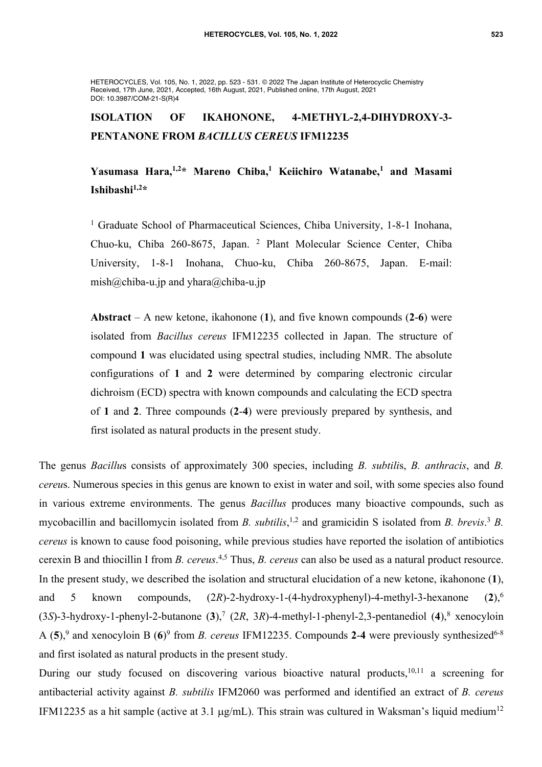HETEROCYCLES, Vol. 105, No. 1, 2022, pp. 523 - 531. © 2022 The Japan Institute of Heterocyclic Chemistry Received, 17th June, 2021, Accepted, 16th August, 2021, Published online, 17th August, 2021 DOI: 10.3987/COM-21-S(R)4

# **ISOLATION OF IKAHONONE, 4-METHYL-2,4-DIHYDROXY-3- PENTANONE FROM** *BACILLUS CEREUS* **IFM12235**

# Yasumasa Hara,<sup>1,2\*</sup> Mareno Chiba,<sup>1</sup> Keiichiro Watanabe,<sup>1</sup> and Masami **Ishibashi1,2 \***

<sup>1</sup> Graduate School of Pharmaceutical Sciences, Chiba University, 1-8-1 Inohana, Chuo-ku, Chiba 260-8675, Japan. <sup>2</sup> Plant Molecular Science Center, Chiba University, 1-8-1 Inohana, Chuo-ku, Chiba 260-8675, Japan. E-mail: mish@chiba-u.jp and yhara@chiba-u.jp

**Abstract** – A new ketone, ikahonone (**1**), and five known compounds (**2**-**6**) were isolated from *Bacillus cereus* IFM12235 collected in Japan. The structure of compound **1** was elucidated using spectral studies, including NMR. The absolute configurations of **1** and **2** were determined by comparing electronic circular dichroism (ECD) spectra with known compounds and calculating the ECD spectra of **1** and **2**. Three compounds (**2**-**4**) were previously prepared by synthesis, and first isolated as natural products in the present study.

The genus *Bacillu*s consists of approximately 300 species, including *B. subtili*s, *B. anthracis*, and *B. cereu*s. Numerous species in this genus are known to exist in water and soil, with some species also found in various extreme environments. The genus *Bacillus* produces many bioactive compounds, such as mycobacillin and bacillomycin isolated from *B. subtilis*,<sup>1,2</sup> and gramicidin S isolated from *B. brevis.*<sup>3</sup> *B. cereus* is known to cause food poisoning, while previous studies have reported the isolation of antibiotics cerexin B and thiocillin I from *B. cereus*. 4,5 Thus, *B. cereus* can also be used as a natural product resource. In the present study, we described the isolation and structural elucidation of a new ketone, ikahonone (**1**), and 5 known compounds, (2*R*)-2-hydroxy-1-(4-hydroxyphenyl)-4-methyl-3-hexanone (**2**),6 (3*S*)-3-hydroxy-1-phenyl-2-butanone (**3**),7 (2*R*, 3*R*)-4-methyl-1-phenyl-2,3-pentanediol (**4**),8 xenocyloin A (5),<sup>9</sup> and xenocyloin B (6)<sup>9</sup> from *B. cereus* IFM12235. Compounds 2-4 were previously synthesized<sup>6-8</sup> and first isolated as natural products in the present study.

During our study focused on discovering various bioactive natural products,<sup>10,11</sup> a screening for antibacterial activity against *B. subtilis* IFM2060 was performed and identified an extract of *B. cereus* IFM12235 as a hit sample (active at 3.1  $\mu$ g/mL). This strain was cultured in Waksman's liquid medium<sup>12</sup>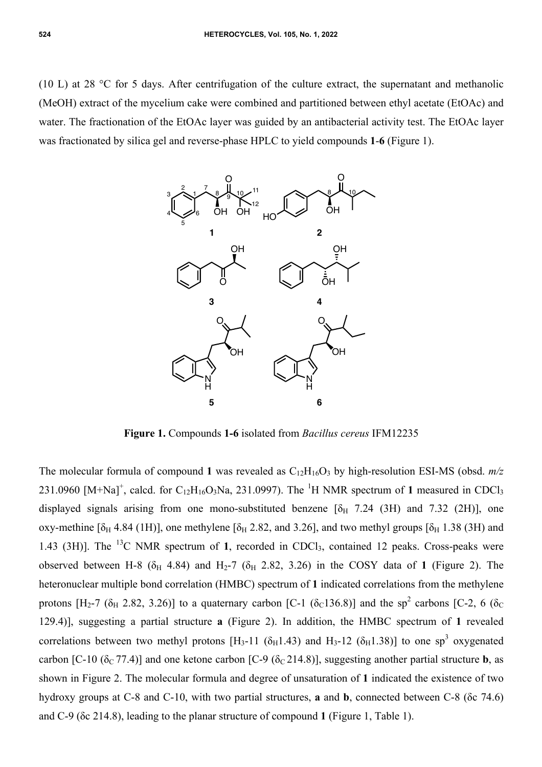(10 L) at 28 °C for 5 days. After centrifugation of the culture extract, the supernatant and methanolic (MeOH) extract of the mycelium cake were combined and partitioned between ethyl acetate (EtOAc) and water. The fractionation of the EtOAc layer was guided by an antibacterial activity test. The EtOAc layer was fractionated by silica gel and reverse-phase HPLC to yield compounds **1**-**6** (Figure 1).



**Figure 1.** Compounds **1-6** isolated from *Bacillus cereus* IFM12235

The molecular formula of compound 1 was revealed as  $C_{12}H_{16}O_3$  by high-resolution ESI-MS (obsd.  $m/z$ ) 231.0960  $[M+Na]^+$ , calcd. for  $C_{12}H_{16}O_3Na$ , 231.0997). The <sup>1</sup>H NMR spectrum of 1 measured in CDCl<sub>3</sub> displayed signals arising from one mono-substituted benzene  $[\delta_H$  7.24 (3H) and 7.32 (2H)], one oxy-methine [ $\delta_H$  4.84 (1H)], one methylene [ $\delta_H$  2.82, and 3.26], and two methyl groups [ $\delta_H$  1.38 (3H) and 1.43 (3H)]. The <sup>13</sup>C NMR spectrum of 1, recorded in CDCl<sub>3</sub>, contained 12 peaks. Cross-peaks were observed between H-8 ( $\delta$ <sub>H</sub> 4.84) and H<sub>2</sub>-7 ( $\delta$ <sub>H</sub> 2.82, 3.26) in the COSY data of 1 (Figure 2). The heteronuclear multiple bond correlation (HMBC) spectrum of **1** indicated correlations from the methylene protons [H<sub>2</sub>-7 ( $\delta$ <sub>H</sub> 2.82, 3.26)] to a quaternary carbon [C-1 ( $\delta$ <sub>C</sub>136.8)] and the sp<sup>2</sup> carbons [C-2, 6 ( $\delta$ <sub>C</sub> 129.4)], suggesting a partial structure **a** (Figure 2). In addition, the HMBC spectrum of **1** revealed correlations between two methyl protons [H<sub>3</sub>-11 ( $\delta$ <sub>H</sub>1.43) and H<sub>3</sub>-12 ( $\delta$ <sub>H</sub>1.38)] to one sp<sup>3</sup> oxygenated carbon [C-10 ( $\delta$ <sub>C</sub> 77.4)] and one ketone carbon [C-9 ( $\delta$ <sub>C</sub> 214.8)], suggesting another partial structure **b**, as shown in Figure 2. The molecular formula and degree of unsaturation of **1** indicated the existence of two hydroxy groups at C-8 and C-10, with two partial structures, **a** and **b**, connected between C-8 (δc 74.6) and C-9 (δc 214.8), leading to the planar structure of compound **1** (Figure 1, Table 1).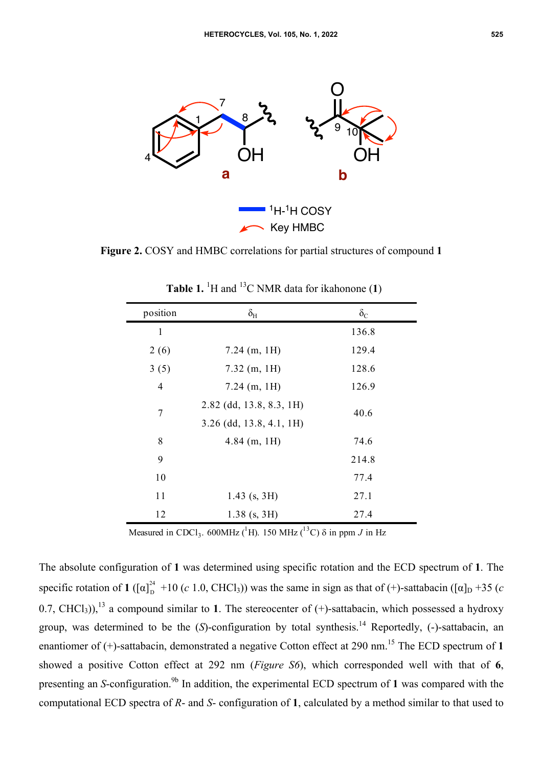

**Figure 2.** COSY and HMBC correlations for partial structures of compound **1**

| position       | $\delta_{\rm H}$           | $\delta_{\rm C}$ |
|----------------|----------------------------|------------------|
| $\mathbf{1}$   |                            | 136.8            |
| 2(6)           | $7.24$ (m, 1H)             | 129.4            |
| 3(5)           | $7.32$ (m, 1H)             | 128.6            |
| $\overline{4}$ | $7.24$ (m, 1H)             | 126.9            |
| 7              | 2.82 (dd, 13.8, 8.3, 1H)   | 40.6             |
|                | $3.26$ (dd, 13.8, 4.1, 1H) |                  |
| 8              | $4.84$ (m, 1H)             | 74.6             |
| 9              |                            | 214.8            |
| 10             |                            | 77.4             |
| 11             | $1.43$ (s, 3H)             | 27.1             |
| 12             | $1.38$ (s, 3H)             | 27.4             |

**Table 1.** <sup>1</sup>H and <sup>13</sup>C NMR data for ikahonone  $(1)$ 

Measured in CDCl<sub>3</sub>. 600MHz (<sup>1</sup>H). 150 MHz (<sup>13</sup>C)  $\delta$  in ppm *J* in Hz

The absolute configuration of **1** was determined using specific rotation and the ECD spectrum of **1**. The specific rotation of **1** ( $[\alpha]_D^2$  +10 (*c* 1.0, CHCl<sub>3</sub>)) was the same in sign as that of (+)-sattabacin ( $[\alpha]_D$  +35 (*c* 0.7, CHCl<sub>3</sub>)),<sup>13</sup> a compound similar to 1. The stereocenter of  $(+)$ -sattabacin, which possessed a hydroxy group, was determined to be the  $(S)$ -configuration by total synthesis.<sup>14</sup> Reportedly,  $(-)$ -sattabacin, an enantiomer of (+)-sattabacin, demonstrated a negative Cotton effect at 290 nm. <sup>15</sup> The ECD spectrum of **1** showed a positive Cotton effect at 292 nm (*Figure S6*), which corresponded well with that of **6**, presenting an *S*-configuration. 9b In addition, the experimental ECD spectrum of **1** was compared with the computational ECD spectra of *R*- and *S*- configuration of **1**, calculated by a method similar to that used to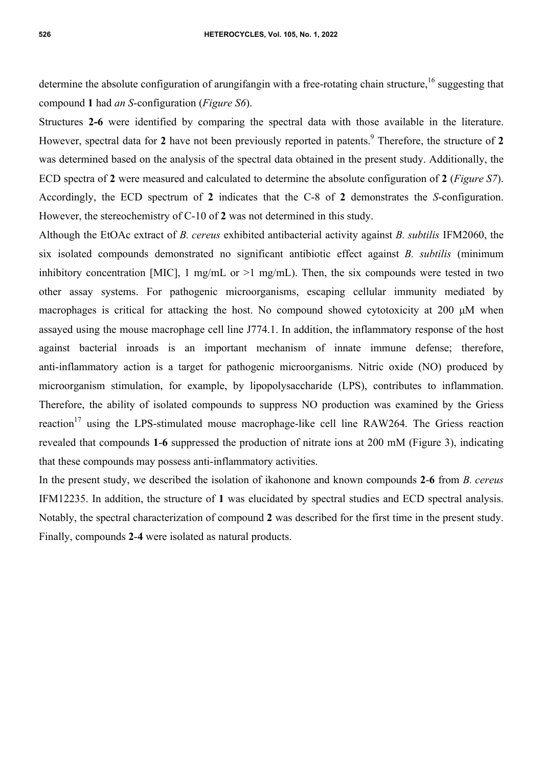determine the absolute configuration of arungifangin with a free-rotating chain structure,<sup>16</sup> suggesting that compound **1** had *an S*-configuration (*Figure S6*).

Structures **2-6** were identified by comparing the spectral data with those available in the literature. However, spectral data for **2** have not been previously reported in patents. <sup>9</sup> Therefore, the structure of **2** was determined based on the analysis of the spectral data obtained in the present study. Additionally, the ECD spectra of **2** were measured and calculated to determine the absolute configuration of **2** (*Figure S7*). Accordingly, the ECD spectrum of **2** indicates that the C-8 of **2** demonstrates the *S*-configuration. However, the stereochemistry of C-10 of **2** was not determined in this study.

Although the EtOAc extract of *B. cereus* exhibited antibacterial activity against *B. subtilis* IFM2060, the six isolated compounds demonstrated no significant antibiotic effect against *B. subtilis* (minimum inhibitory concentration [MIC], 1 mg/mL or  $>1$  mg/mL). Then, the six compounds were tested in two other assay systems. For pathogenic microorganisms, escaping cellular immunity mediated by macrophages is critical for attacking the host. No compound showed cytotoxicity at 200 µM when assayed using the mouse macrophage cell line J774.1. In addition, the inflammatory response of the host against bacterial inroads is an important mechanism of innate immune defense; therefore, anti-inflammatory action is a target for pathogenic microorganisms. Nitric oxide (NO) produced by microorganism stimulation, for example, by lipopolysaccharide (LPS), contributes to inflammation. Therefore, the ability of isolated compounds to suppress NO production was examined by the Griess reaction<sup>17</sup> using the LPS-stimulated mouse macrophage-like cell line RAW264. The Griess reaction revealed that compounds **1**-**6** suppressed the production of nitrate ions at 200 mM (Figure 3), indicating that these compounds may possess anti-inflammatory activities.

In the present study, we described the isolation of ikahonone and known compounds **2**-**6** from *B. cereus* IFM12235. In addition, the structure of **1** was elucidated by spectral studies and ECD spectral analysis. Notably, the spectral characterization of compound **2** was described for the first time in the present study. Finally, compounds **2**-**4** were isolated as natural products.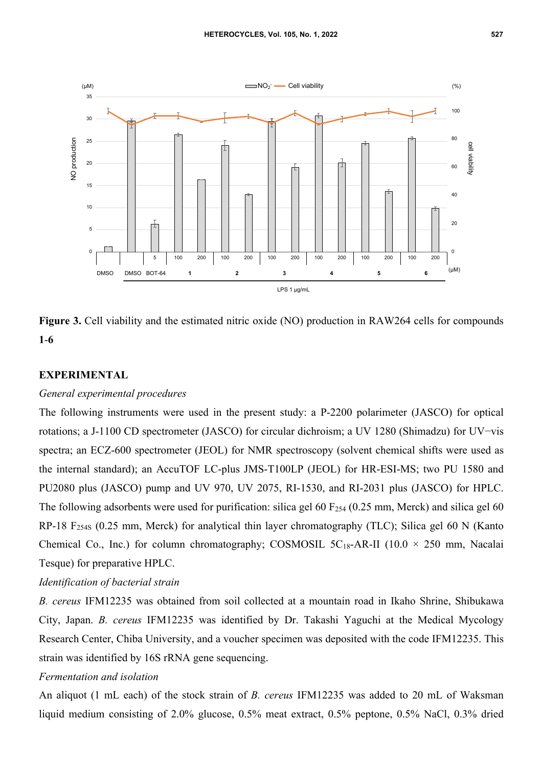

**Figure 3.** Cell viability and the estimated nitric oxide (NO) production in RAW264 cells for compounds **1**-**6**

## **EXPERIMENTAL**

#### *General experimental procedures*

The following instruments were used in the present study: a P-2200 polarimeter (JASCO) for optical rotations; a J-1100 CD spectrometer (JASCO) for circular dichroism; a UV 1280 (Shimadzu) for UV−vis spectra; an ECZ-600 spectrometer (JEOL) for NMR spectroscopy (solvent chemical shifts were used as the internal standard); an AccuTOF LC-plus JMS-T100LP (JEOL) for HR-ESI-MS; two PU 1580 and PU2080 plus (JASCO) pump and UV 970, UV 2075, RI-1530, and RI-2031 plus (JASCO) for HPLC. The following adsorbents were used for purification: silica gel 60  $F_{254}$  (0.25 mm, Merck) and silica gel 60 RP-18 F254S (0.25 mm, Merck) for analytical thin layer chromatography (TLC); Silica gel 60 N (Kanto Chemical Co., Inc.) for column chromatography; COSMOSIL  $5C_{18}$ -AR-II (10.0 × 250 mm, Nacalai Tesque) for preparative HPLC.

## *Identification of bacterial strain*

*B. cereus* IFM12235 was obtained from soil collected at a mountain road in Ikaho Shrine, Shibukawa City, Japan. *B. cereus* IFM12235 was identified by Dr. Takashi Yaguchi at the Medical Mycology Research Center, Chiba University, and a voucher specimen was deposited with the code IFM12235. This strain was identified by 16S rRNA gene sequencing.

# *Fermentation and isolation*

An aliquot (1 mL each) of the stock strain of *B. cereus* IFM12235 was added to 20 mL of Waksman liquid medium consisting of 2.0% glucose, 0.5% meat extract, 0.5% peptone, 0.5% NaCl, 0.3% dried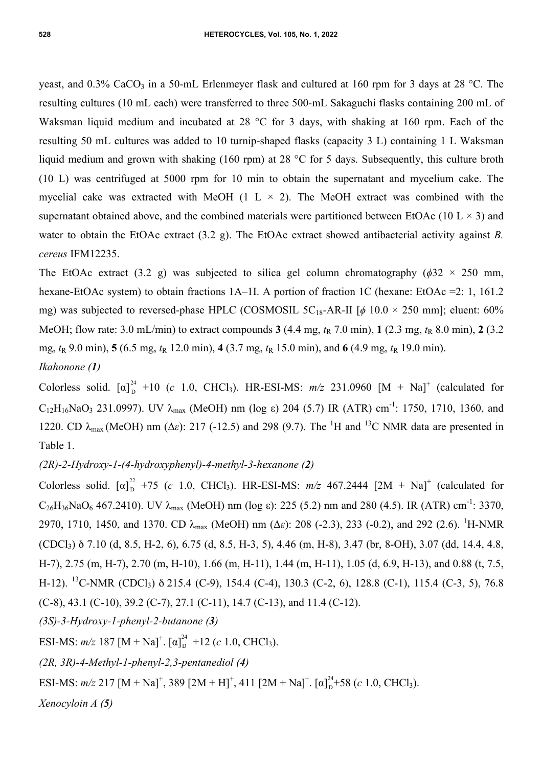yeast, and  $0.3\%$  CaCO<sub>3</sub> in a 50-mL Erlenmeyer flask and cultured at 160 rpm for 3 days at 28 °C. The resulting cultures (10 mL each) were transferred to three 500-mL Sakaguchi flasks containing 200 mL of Waksman liquid medium and incubated at 28 °C for 3 days, with shaking at 160 rpm. Each of the resulting 50 mL cultures was added to 10 turnip-shaped flasks (capacity 3 L) containing 1 L Waksman liquid medium and grown with shaking (160 rpm) at 28 °C for 5 days. Subsequently, this culture broth (10 L) was centrifuged at 5000 rpm for 10 min to obtain the supernatant and mycelium cake. The mycelial cake was extracted with MeOH (1 L  $\times$  2). The MeOH extract was combined with the supernatant obtained above, and the combined materials were partitioned between EtOAc (10 L  $\times$  3) and water to obtain the EtOAc extract (3.2 g). The EtOAc extract showed antibacterial activity against *B. cereus* IFM12235.

The EtOAc extract (3.2 g) was subjected to silica gel column chromatography ( $\phi$ 32 × 250 mm, hexane-EtOAc system) to obtain fractions 1A–1I. A portion of fraction 1C (hexane: EtOAc =2: 1, 161.2 mg) was subjected to reversed-phase HPLC (COSMOSIL  $5C_{18}$ -AR-II [ $\phi$  10.0 × 250 mm]; eluent: 60% MeOH; flow rate: 3.0 mL/min) to extract compounds  $3(4.4 \text{ mg}, t_R 7.0 \text{ min})$ ,  $1(2.3 \text{ mg}, t_R 8.0 \text{ min})$ ,  $2(3.2 \text{ mg}, t_R 8.0 \text{ min})$ mg,  $t<sub>R</sub>$  9.0 min), **5** (6.5 mg,  $t<sub>R</sub>$  12.0 min), **4** (3.7 mg,  $t<sub>R</sub>$  15.0 min), and **6** (4.9 mg,  $t<sub>R</sub>$  19.0 min).

*Ikahonone (1)*

Colorless solid.  $[\alpha]_D^{24}$  +10 (*c* 1.0, CHCl<sub>3</sub>). HR-ESI-MS:  $m/z$  231.0960 [M + Na]<sup>+</sup> (calculated for C<sub>12</sub>H<sub>16</sub>NaO<sub>3</sub> 231.0997). UV λ<sub>max</sub> (MeOH) nm (log ε) 204 (5.7) IR (ATR) cm<sup>-1</sup>: 1750, 1710, 1360, and 1220. CD  $\lambda_{\text{max}}$  (MeOH) nm ( $\Delta \varepsilon$ ): 217 (-12.5) and 298 (9.7). The <sup>1</sup>H and <sup>13</sup>C NMR data are presented in Table 1.

*(2R)-2-Hydroxy-1-(4-hydroxyphenyl)-4-methyl-3-hexanone (2)*

Colorless solid.  $[\alpha]_D^{22}$  +75 (*c* 1.0, CHCl<sub>3</sub>). HR-ESI-MS:  $m/z$  467.2444 [2M + Na]<sup>+</sup> (calculated for C<sub>26</sub>H<sub>36</sub>NaO<sub>6</sub> 467.2410). UV  $\lambda_{\text{max}}$  (MeOH) nm (log  $\varepsilon$ ): 225 (5.2) nm and 280 (4.5). IR (ATR) cm<sup>-1</sup>: 3370, 2970, 1710, 1450, and 1370. CD λmax (MeOH) nm (Δ*ε*): 208 (-2.3), 233 (-0.2), and 292 (2.6). <sup>1</sup> H-NMR (CDCl3) δ 7.10 (d, 8.5, H-2, 6), 6.75 (d, 8.5, H-3, 5), 4.46 (m, H-8), 3.47 (br, 8-OH), 3.07 (dd, 14.4, 4.8, H-7), 2.75 (m, H-7), 2.70 (m, H-10), 1.66 (m, H-11), 1.44 (m, H-11), 1.05 (d, 6.9, H-13), and 0.88 (t, 7.5, H-12). 13C-NMR (CDCl3) δ 215.4 (C-9), 154.4 (C-4), 130.3 (C-2, 6), 128.8 (C-1), 115.4 (C-3, 5), 76.8  $(C-8)$ , 43.1  $(C-10)$ , 39.2  $(C-7)$ , 27.1  $(C-11)$ , 14.7  $(C-13)$ , and 11.4  $(C-12)$ .

*(3S)-3-Hydroxy-1-phenyl-2-butanone (3)*

ESI-MS:  $m/z$  187 [M + Na]<sup>+</sup>. [α]<sup>24</sup><sub>D</sub> +12 (*c* 1.0, CHCl<sub>3</sub>).

*(2R, 3R)-4-Methyl-1-phenyl-2,3-pentanediol (4)* 

ESI-MS:  $m/z$  217 [M + Na]<sup>+</sup>, 389 [2M + H]<sup>+</sup>, 411 [2M + Na]<sup>+</sup>. [α]<sub>D</sub><sup>24</sup>+58 (*c* 1.0, CHCl<sub>3</sub>).

*Xenocyloin A (5)*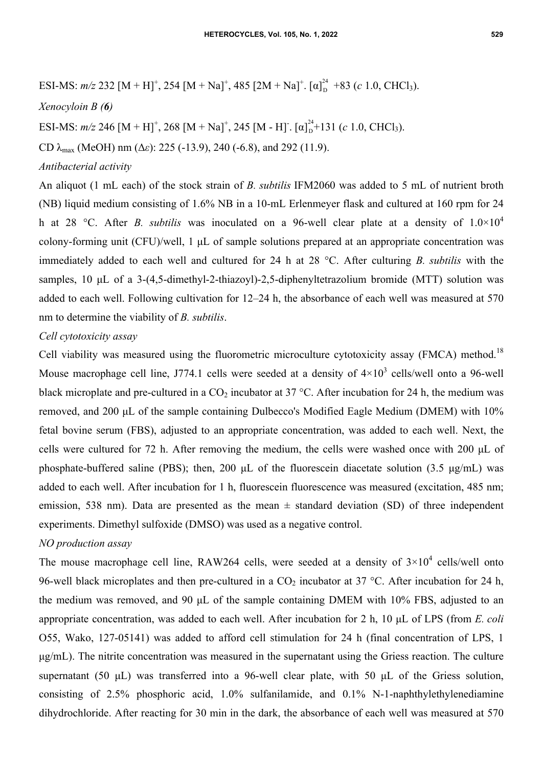ESI-MS: 
$$
m/z
$$
 232 [M + H]<sup>+</sup>, 254 [M + Na]<sup>+</sup>, 485 [2M + Na]<sup>+</sup>. [a]<sup>24</sup><sub>D</sub> +83 (*c* 1.0, CHCl<sub>3</sub>).

#### *Xenocyloin B (6)*

ESI-MS:  $m/z$  246 [M + H]<sup>+</sup>, 268 [M + Na]<sup>+</sup>, 245 [M - H]<sup>-</sup>. [ $\alpha$ ]<sub> $D$ </sub><sup>24</sup>+131 (*c* 1.0, CHCl<sub>3</sub>).

CD λmax (MeOH) nm (Δ*ε*): 225 (-13.9), 240 (-6.8), and 292 (11.9).

## *Antibacterial activity*

An aliquot (1 mL each) of the stock strain of *B. subtilis* IFM2060 was added to 5 mL of nutrient broth (NB) liquid medium consisting of 1.6% NB in a 10-mL Erlenmeyer flask and cultured at 160 rpm for 24 h at 28 °C. After *B. subtilis* was inoculated on a 96-well clear plate at a density of  $1.0 \times 10^4$ colony-forming unit (CFU)/well, 1 µL of sample solutions prepared at an appropriate concentration was immediately added to each well and cultured for 24 h at 28 °C. After culturing *B. subtilis* with the samples, 10 µL of a 3-(4,5-dimethyl-2-thiazoyl)-2,5-diphenyltetrazolium bromide (MTT) solution was added to each well. Following cultivation for 12–24 h, the absorbance of each well was measured at 570 nm to determine the viability of *B. subtilis*.

## *Cell cytotoxicity assay*

Cell viability was measured using the fluorometric microculture cytotoxicity assay (FMCA) method.<sup>18</sup> Mouse macrophage cell line, J774.1 cells were seeded at a density of  $4\times10^3$  cells/well onto a 96-well black microplate and pre-cultured in a  $CO<sub>2</sub>$  incubator at 37 °C. After incubation for 24 h, the medium was removed, and 200 µL of the sample containing Dulbecco's Modified Eagle Medium (DMEM) with 10% fetal bovine serum (FBS), adjusted to an appropriate concentration, was added to each well. Next, the cells were cultured for 72 h. After removing the medium, the cells were washed once with 200 µL of phosphate-buffered saline (PBS); then, 200  $\mu$ L of the fluorescein diacetate solution (3.5  $\mu$ g/mL) was added to each well. After incubation for 1 h, fluorescein fluorescence was measured (excitation, 485 nm; emission, 538 nm). Data are presented as the mean  $\pm$  standard deviation (SD) of three independent experiments. Dimethyl sulfoxide (DMSO) was used as a negative control.

## *NO production assay*

The mouse macrophage cell line, RAW264 cells, were seeded at a density of  $3\times10^4$  cells/well onto 96-well black microplates and then pre-cultured in a  $CO<sub>2</sub>$  incubator at 37 °C. After incubation for 24 h, the medium was removed, and 90 µL of the sample containing DMEM with 10% FBS, adjusted to an appropriate concentration, was added to each well. After incubation for 2 h, 10 µL of LPS (from *E. coli* O55, Wako, 127-05141) was added to afford cell stimulation for 24 h (final concentration of LPS, 1 µg/mL). The nitrite concentration was measured in the supernatant using the Griess reaction. The culture supernatant (50  $\mu$ L) was transferred into a 96-well clear plate, with 50  $\mu$ L of the Griess solution, consisting of 2.5% phosphoric acid, 1.0% sulfanilamide, and 0.1% N-1-naphthylethylenediamine dihydrochloride. After reacting for 30 min in the dark, the absorbance of each well was measured at 570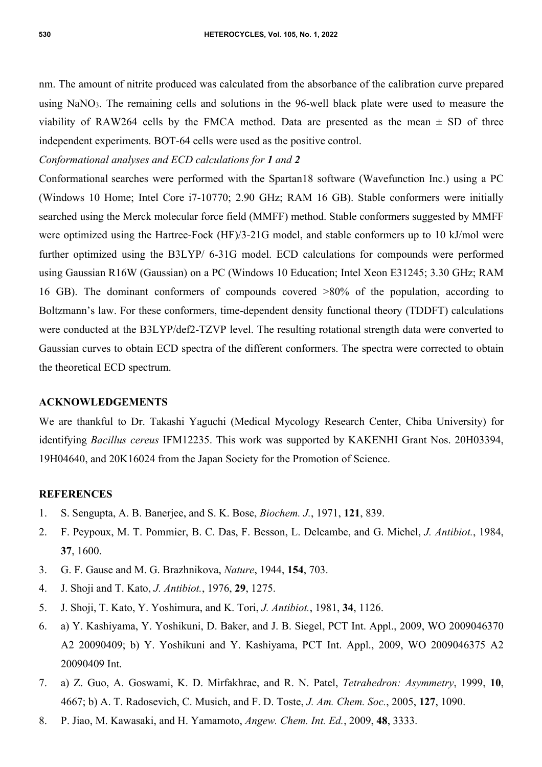nm. The amount of nitrite produced was calculated from the absorbance of the calibration curve prepared using NaNO<sub>3</sub>. The remaining cells and solutions in the 96-well black plate were used to measure the viability of RAW264 cells by the FMCA method. Data are presented as the mean  $\pm$  SD of three independent experiments. BOT-64 cells were used as the positive control.

*Conformational analyses and ECD calculations for 1 and 2* 

Conformational searches were performed with the Spartan18 software (Wavefunction Inc.) using a PC (Windows 10 Home; Intel Core i7-10770; 2.90 GHz; RAM 16 GB). Stable conformers were initially searched using the Merck molecular force field (MMFF) method. Stable conformers suggested by MMFF were optimized using the Hartree-Fock (HF)/3-21G model, and stable conformers up to 10 kJ/mol were further optimized using the B3LYP/ 6-31G model. ECD calculations for compounds were performed using Gaussian R16W (Gaussian) on a PC (Windows 10 Education; Intel Xeon E31245; 3.30 GHz; RAM 16 GB). The dominant conformers of compounds covered >80% of the population, according to Boltzmann's law. For these conformers, time-dependent density functional theory (TDDFT) calculations were conducted at the B3LYP/def2-TZVP level. The resulting rotational strength data were converted to Gaussian curves to obtain ECD spectra of the different conformers. The spectra were corrected to obtain the theoretical ECD spectrum.

## **ACKNOWLEDGEMENTS**

We are thankful to Dr. Takashi Yaguchi (Medical Mycology Research Center, Chiba University) for identifying *Bacillus cereus* IFM12235. This work was supported by KAKENHI Grant Nos. 20H03394, 19H04640, and 20K16024 from the Japan Society for the Promotion of Science.

## **REFERENCES**

- 1. S. Sengupta, A. B. Banerjee, and S. K. Bose, *Biochem. J.*, 1971, **121**, 839.
- 2. F. Peypoux, M. T. Pommier, B. C. Das, F. Besson, L. Delcambe, and G. Michel, *J. Antibiot.*, 1984, **37**, 1600.
- 3. G. F. Gause and M. G. Brazhnikova, *Nature*, 1944, **154**, 703.
- 4. J. Shoji and T. Kato, *J. Antibiot.*, 1976, **29**, 1275.
- 5. J. Shoji, T. Kato, Y. Yoshimura, and K. Tori, *J. Antibiot.*, 1981, **34**, 1126.
- 6. a) Y. Kashiyama, Y. Yoshikuni, D. Baker, and J. B. Siegel, PCT Int. Appl., 2009, WO 2009046370 A2 20090409; b) Y. Yoshikuni and Y. Kashiyama, PCT Int. Appl., 2009, WO 2009046375 A2 20090409 Int.
- 7. a) Z. Guo, A. Goswami, K. D. Mirfakhrae, and R. N. Patel, *Tetrahedron: Asymmetry*, 1999, **10**, 4667; b) A. T. Radosevich, C. Musich, and F. D. Toste, *J. Am. Chem. Soc.*, 2005, **127**, 1090.
- 8. P. Jiao, M. Kawasaki, and H. Yamamoto, *Angew. Chem. Int. Ed.*, 2009, **48**, 3333.